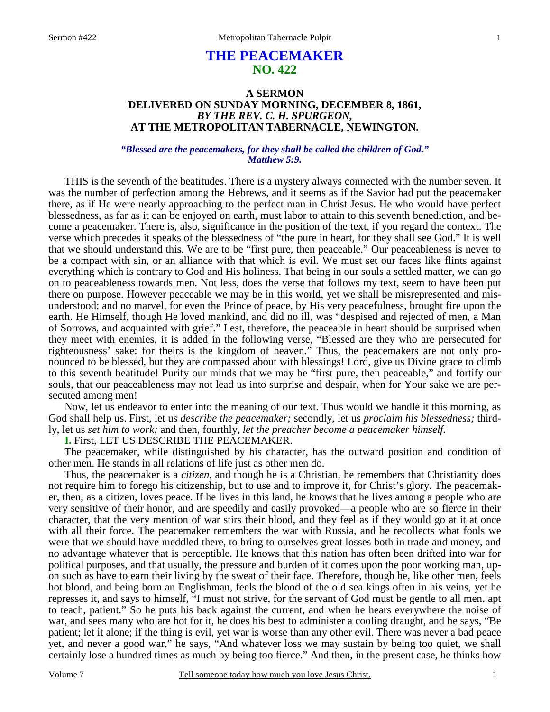# **THE PEACEMAKER NO. 422**

### **A SERMON DELIVERED ON SUNDAY MORNING, DECEMBER 8, 1861,**  *BY THE REV. C. H. SPURGEON,*  **AT THE METROPOLITAN TABERNACLE, NEWINGTON.**

### *"Blessed are the peacemakers, for they shall be called the children of God." Matthew 5:9.*

THIS is the seventh of the beatitudes. There is a mystery always connected with the number seven. It was the number of perfection among the Hebrews, and it seems as if the Savior had put the peacemaker there, as if He were nearly approaching to the perfect man in Christ Jesus. He who would have perfect blessedness, as far as it can be enjoyed on earth, must labor to attain to this seventh benediction, and become a peacemaker. There is, also, significance in the position of the text, if you regard the context. The verse which precedes it speaks of the blessedness of "the pure in heart, for they shall see God." It is well that we should understand this. We are to be "first pure, then peaceable." Our peaceableness is never to be a compact with sin, or an alliance with that which is evil. We must set our faces like flints against everything which is contrary to God and His holiness. That being in our souls a settled matter, we can go on to peaceableness towards men. Not less, does the verse that follows my text, seem to have been put there on purpose. However peaceable we may be in this world, yet we shall be misrepresented and misunderstood; and no marvel, for even the Prince of peace, by His very peacefulness, brought fire upon the earth. He Himself, though He loved mankind, and did no ill, was "despised and rejected of men, a Man of Sorrows, and acquainted with grief." Lest, therefore, the peaceable in heart should be surprised when they meet with enemies, it is added in the following verse, "Blessed are they who are persecuted for righteousness' sake: for theirs is the kingdom of heaven." Thus, the peacemakers are not only pronounced to be blessed, but they are compassed about with blessings! Lord, give us Divine grace to climb to this seventh beatitude! Purify our minds that we may be "first pure, then peaceable," and fortify our souls, that our peaceableness may not lead us into surprise and despair, when for Your sake we are persecuted among men!

Now, let us endeavor to enter into the meaning of our text. Thus would we handle it this morning, as God shall help us. First, let us *describe the peacemaker;* secondly, let us *proclaim his blessedness;* thirdly, let us *set him to work;* and then, fourthly, *let the preacher become a peacemaker himself.* 

**I.** First, LET US DESCRIBE THE PEACEMAKER.

The peacemaker, while distinguished by his character, has the outward position and condition of other men. He stands in all relations of life just as other men do.

Thus, the peacemaker is a *citizen,* and though he is a Christian, he remembers that Christianity does not require him to forego his citizenship, but to use and to improve it, for Christ's glory. The peacemaker, then, as a citizen, loves peace. If he lives in this land, he knows that he lives among a people who are very sensitive of their honor, and are speedily and easily provoked—a people who are so fierce in their character, that the very mention of war stirs their blood, and they feel as if they would go at it at once with all their force. The peacemaker remembers the war with Russia, and he recollects what fools we were that we should have meddled there, to bring to ourselves great losses both in trade and money, and no advantage whatever that is perceptible. He knows that this nation has often been drifted into war for political purposes, and that usually, the pressure and burden of it comes upon the poor working man, upon such as have to earn their living by the sweat of their face. Therefore, though he, like other men, feels hot blood, and being born an Englishman, feels the blood of the old sea kings often in his veins, yet he represses it, and says to himself, "I must not strive, for the servant of God must be gentle to all men, apt to teach, patient." So he puts his back against the current, and when he hears everywhere the noise of war, and sees many who are hot for it, he does his best to administer a cooling draught, and he says, "Be patient; let it alone; if the thing is evil, yet war is worse than any other evil. There was never a bad peace yet, and never a good war," he says, "And whatever loss we may sustain by being too quiet, we shall certainly lose a hundred times as much by being too fierce." And then, in the present case, he thinks how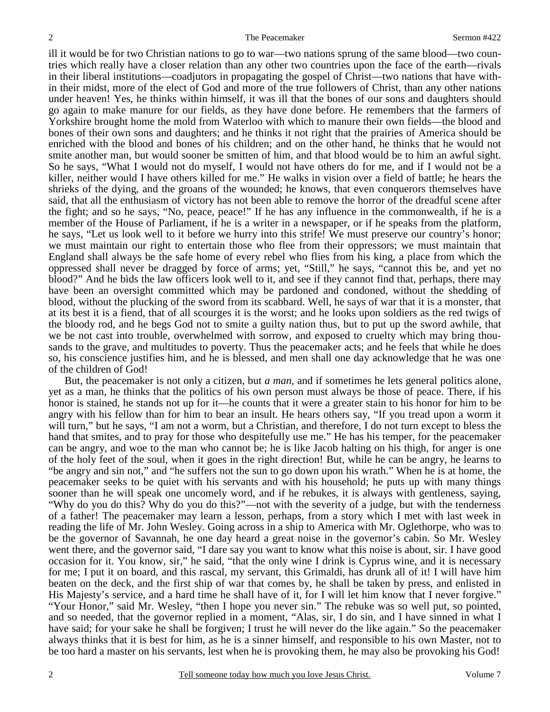ill it would be for two Christian nations to go to war—two nations sprung of the same blood—two countries which really have a closer relation than any other two countries upon the face of the earth—rivals in their liberal institutions—coadjutors in propagating the gospel of Christ—two nations that have within their midst, more of the elect of God and more of the true followers of Christ, than any other nations under heaven! Yes, he thinks within himself, it was ill that the bones of our sons and daughters should go again to make manure for our fields, as they have done before. He remembers that the farmers of Yorkshire brought home the mold from Waterloo with which to manure their own fields—the blood and bones of their own sons and daughters; and he thinks it not right that the prairies of America should be enriched with the blood and bones of his children; and on the other hand, he thinks that he would not smite another man, but would sooner be smitten of him, and that blood would be to him an awful sight. So he says, "What I would not do myself, I would not have others do for me, and if I would not be a killer, neither would I have others killed for me." He walks in vision over a field of battle; he hears the shrieks of the dying, and the groans of the wounded; he knows, that even conquerors themselves have said, that all the enthusiasm of victory has not been able to remove the horror of the dreadful scene after the fight; and so he says, "No, peace, peace!" If he has any influence in the commonwealth, if he is a member of the House of Parliament, if he is a writer in a newspaper, or if he speaks from the platform, he says, "Let us look well to it before we hurry into this strife! We must preserve our country's honor; we must maintain our right to entertain those who flee from their oppressors; we must maintain that England shall always be the safe home of every rebel who flies from his king, a place from which the oppressed shall never be dragged by force of arms; yet, "Still," he says, "cannot this be, and yet no blood?" And he bids the law officers look well to it, and see if they cannot find that, perhaps, there may have been an oversight committed which may be pardoned and condoned, without the shedding of blood, without the plucking of the sword from its scabbard. Well, he says of war that it is a monster, that at its best it is a fiend, that of all scourges it is the worst; and he looks upon soldiers as the red twigs of the bloody rod, and he begs God not to smite a guilty nation thus, but to put up the sword awhile, that we be not cast into trouble, overwhelmed with sorrow, and exposed to cruelty which may bring thousands to the grave, and multitudes to poverty. Thus the peacemaker acts; and he feels that while he does so, his conscience justifies him, and he is blessed, and men shall one day acknowledge that he was one of the children of God!

But, the peacemaker is not only a citizen, but *a man,* and if sometimes he lets general politics alone, yet as a man, he thinks that the politics of his own person must always be those of peace. There, if his honor is stained, he stands not up for it—he counts that it were a greater stain to his honor for him to be angry with his fellow than for him to bear an insult. He hears others say, "If you tread upon a worm it will turn," but he says, "I am not a worm, but a Christian, and therefore, I do not turn except to bless the hand that smites, and to pray for those who despitefully use me." He has his temper, for the peacemaker can be angry, and woe to the man who cannot be; he is like Jacob halting on his thigh, for anger is one of the holy feet of the soul, when it goes in the right direction! But, while he can be angry, he learns to "be angry and sin not," and "he suffers not the sun to go down upon his wrath." When he is at home, the peacemaker seeks to be quiet with his servants and with his household; he puts up with many things sooner than he will speak one uncomely word, and if he rebukes, it is always with gentleness, saying, "Why do you do this? Why do you do this?"—not with the severity of a judge, but with the tenderness of a father! The peacemaker may learn a lesson, perhaps, from a story which I met with last week in reading the life of Mr. John Wesley. Going across in a ship to America with Mr. Oglethorpe, who was to be the governor of Savannah, he one day heard a great noise in the governor's cabin. So Mr. Wesley went there, and the governor said, "I dare say you want to know what this noise is about, sir. I have good occasion for it. You know, sir," he said, "that the only wine I drink is Cyprus wine, and it is necessary for me; I put it on board, and this rascal, my servant, this Grimaldi, has drunk all of it! I will have him beaten on the deck, and the first ship of war that comes by, he shall be taken by press, and enlisted in His Majesty's service, and a hard time he shall have of it, for I will let him know that I never forgive." "Your Honor," said Mr. Wesley, "then I hope you never sin." The rebuke was so well put, so pointed, and so needed, that the governor replied in a moment, "Alas, sir, I do sin, and I have sinned in what I have said; for your sake he shall be forgiven; I trust he will never do the like again." So the peacemaker always thinks that it is best for him, as he is a sinner himself, and responsible to his own Master, not to be too hard a master on his servants, lest when he is provoking them, he may also be provoking his God!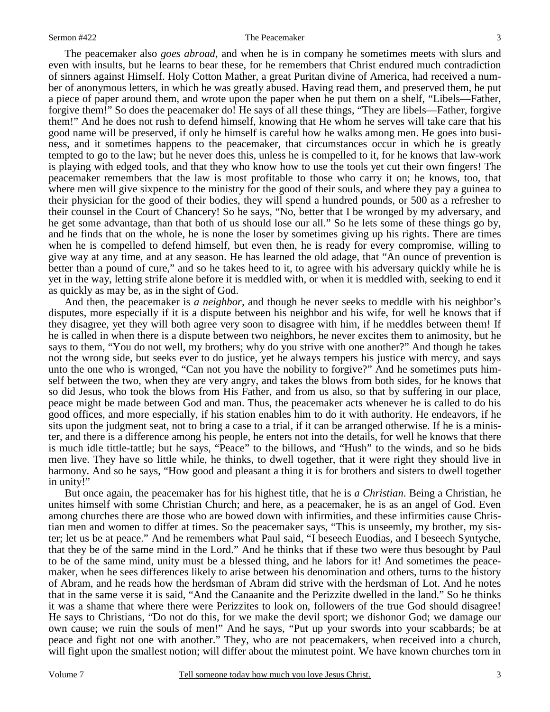#### Sermon #422 The Peacemaker

The peacemaker also *goes abroad,* and when he is in company he sometimes meets with slurs and even with insults, but he learns to bear these, for he remembers that Christ endured much contradiction of sinners against Himself. Holy Cotton Mather, a great Puritan divine of America, had received a number of anonymous letters, in which he was greatly abused. Having read them, and preserved them, he put a piece of paper around them, and wrote upon the paper when he put them on a shelf, "Libels—Father, forgive them!" So does the peacemaker do! He says of all these things, "They are libels—Father, forgive them!" And he does not rush to defend himself, knowing that He whom he serves will take care that his good name will be preserved, if only he himself is careful how he walks among men. He goes into business, and it sometimes happens to the peacemaker, that circumstances occur in which he is greatly tempted to go to the law; but he never does this, unless he is compelled to it, for he knows that law-work is playing with edged tools, and that they who know how to use the tools yet cut their own fingers! The peacemaker remembers that the law is most profitable to those who carry it on; he knows, too, that where men will give sixpence to the ministry for the good of their souls, and where they pay a guinea to their physician for the good of their bodies, they will spend a hundred pounds, or 500 as a refresher to their counsel in the Court of Chancery! So he says, "No, better that I be wronged by my adversary, and he get some advantage, than that both of us should lose our all." So he lets some of these things go by, and he finds that on the whole, he is none the loser by sometimes giving up his rights. There are times when he is compelled to defend himself, but even then, he is ready for every compromise, willing to give way at any time, and at any season. He has learned the old adage, that "An ounce of prevention is better than a pound of cure," and so he takes heed to it, to agree with his adversary quickly while he is yet in the way, letting strife alone before it is meddled with, or when it is meddled with, seeking to end it as quickly as may be, as in the sight of God.

And then, the peacemaker is *a neighbor,* and though he never seeks to meddle with his neighbor's disputes, more especially if it is a dispute between his neighbor and his wife, for well he knows that if they disagree, yet they will both agree very soon to disagree with him, if he meddles between them! If he is called in when there is a dispute between two neighbors, he never excites them to animosity, but he says to them, "You do not well, my brothers; why do you strive with one another?" And though he takes not the wrong side, but seeks ever to do justice, yet he always tempers his justice with mercy, and says unto the one who is wronged, "Can not you have the nobility to forgive?" And he sometimes puts himself between the two, when they are very angry, and takes the blows from both sides, for he knows that so did Jesus, who took the blows from His Father, and from us also, so that by suffering in our place, peace might be made between God and man. Thus, the peacemaker acts whenever he is called to do his good offices, and more especially, if his station enables him to do it with authority. He endeavors, if he sits upon the judgment seat, not to bring a case to a trial, if it can be arranged otherwise. If he is a minister, and there is a difference among his people, he enters not into the details, for well he knows that there is much idle tittle-tattle; but he says, "Peace" to the billows, and "Hush" to the winds, and so he bids men live. They have so little while, he thinks, to dwell together, that it were right they should live in harmony. And so he says, "How good and pleasant a thing it is for brothers and sisters to dwell together in unity!"

But once again, the peacemaker has for his highest title, that he is *a Christian*. Being a Christian, he unites himself with some Christian Church; and here, as a peacemaker, he is as an angel of God. Even among churches there are those who are bowed down with infirmities, and these infirmities cause Christian men and women to differ at times. So the peacemaker says, "This is unseemly, my brother, my sister; let us be at peace." And he remembers what Paul said, "I beseech Euodias, and I beseech Syntyche, that they be of the same mind in the Lord." And he thinks that if these two were thus besought by Paul to be of the same mind, unity must be a blessed thing, and he labors for it! And sometimes the peacemaker, when he sees differences likely to arise between his denomination and others, turns to the history of Abram, and he reads how the herdsman of Abram did strive with the herdsman of Lot. And he notes that in the same verse it is said, "And the Canaanite and the Perizzite dwelled in the land." So he thinks it was a shame that where there were Perizzites to look on, followers of the true God should disagree! He says to Christians, "Do not do this, for we make the devil sport; we dishonor God; we damage our own cause; we ruin the souls of men!" And he says, "Put up your swords into your scabbards; be at peace and fight not one with another." They, who are not peacemakers, when received into a church, will fight upon the smallest notion; will differ about the minutest point. We have known churches torn in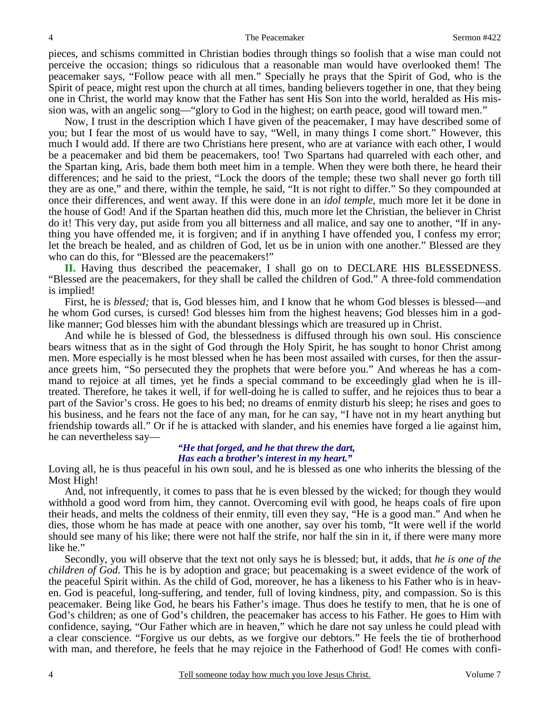pieces, and schisms committed in Christian bodies through things so foolish that a wise man could not perceive the occasion; things so ridiculous that a reasonable man would have overlooked them! The peacemaker says, "Follow peace with all men." Specially he prays that the Spirit of God, who is the Spirit of peace, might rest upon the church at all times, banding believers together in one, that they being one in Christ, the world may know that the Father has sent His Son into the world, heralded as His mission was, with an angelic song—"glory to God in the highest; on earth peace, good will toward men."

Now, I trust in the description which I have given of the peacemaker, I may have described some of you; but I fear the most of us would have to say, "Well, in many things I come short." However, this much I would add. If there are two Christians here present, who are at variance with each other, I would be a peacemaker and bid them be peacemakers, too! Two Spartans had quarreled with each other, and the Spartan king, Aris, bade them both meet him in a temple. When they were both there, he heard their differences; and he said to the priest, "Lock the doors of the temple; these two shall never go forth till they are as one," and there, within the temple, he said, "It is not right to differ." So they compounded at once their differences, and went away. If this were done in an *idol temple*, much more let it be done in the house of God! And if the Spartan heathen did this, much more let the Christian, the believer in Christ do it! This very day, put aside from you all bitterness and all malice, and say one to another, "If in anything you have offended me, it is forgiven; and if in anything I have offended you, I confess my error; let the breach be healed, and as children of God, let us be in union with one another." Blessed are they who can do this, for "Blessed are the peacemakers!"

**II.** Having thus described the peacemaker, I shall go on to DECLARE HIS BLESSEDNESS. "Blessed are the peacemakers, for they shall be called the children of God." A three-fold commendation is implied!

First, he is *blessed;* that is, God blesses him, and I know that he whom God blesses is blessed—and he whom God curses, is cursed! God blesses him from the highest heavens; God blesses him in a godlike manner; God blesses him with the abundant blessings which are treasured up in Christ.

And while he is blessed of God, the blessedness is diffused through his own soul. His conscience bears witness that as in the sight of God through the Holy Spirit, he has sought to honor Christ among men. More especially is he most blessed when he has been most assailed with curses, for then the assurance greets him, "So persecuted they the prophets that were before you." And whereas he has a command to rejoice at all times, yet he finds a special command to be exceedingly glad when he is illtreated. Therefore, he takes it well, if for well-doing he is called to suffer, and he rejoices thus to bear a part of the Savior's cross. He goes to his bed; no dreams of enmity disturb his sleep; he rises and goes to his business, and he fears not the face of any man, for he can say, "I have not in my heart anything but friendship towards all." Or if he is attacked with slander, and his enemies have forged a lie against him, he can nevertheless say—

#### *"He that forged, and he that threw the dart, Has each a brother's interest in my heart."*

Loving all, he is thus peaceful in his own soul, and he is blessed as one who inherits the blessing of the Most High!

And, not infrequently, it comes to pass that he is even blessed by the wicked; for though they would withhold a good word from him, they cannot. Overcoming evil with good, he heaps coals of fire upon their heads, and melts the coldness of their enmity, till even they say, "He is a good man." And when he dies, those whom he has made at peace with one another, say over his tomb, "It were well if the world should see many of his like; there were not half the strife, nor half the sin in it, if there were many more like he."

Secondly, you will observe that the text not only says he is blessed; but, it adds, that *he is one of the children of God*. This he is by adoption and grace; but peacemaking is a sweet evidence of the work of the peaceful Spirit within. As the child of God, moreover, he has a likeness to his Father who is in heaven. God is peaceful, long-suffering, and tender, full of loving kindness, pity, and compassion. So is this peacemaker. Being like God, he bears his Father's image. Thus does he testify to men, that he is one of God's children; as one of God's children, the peacemaker has access to his Father. He goes to Him with confidence, saying, "Our Father which are in heaven," which he dare not say unless he could plead with a clear conscience. "Forgive us our debts, as we forgive our debtors." He feels the tie of brotherhood with man, and therefore, he feels that he may rejoice in the Fatherhood of God! He comes with confi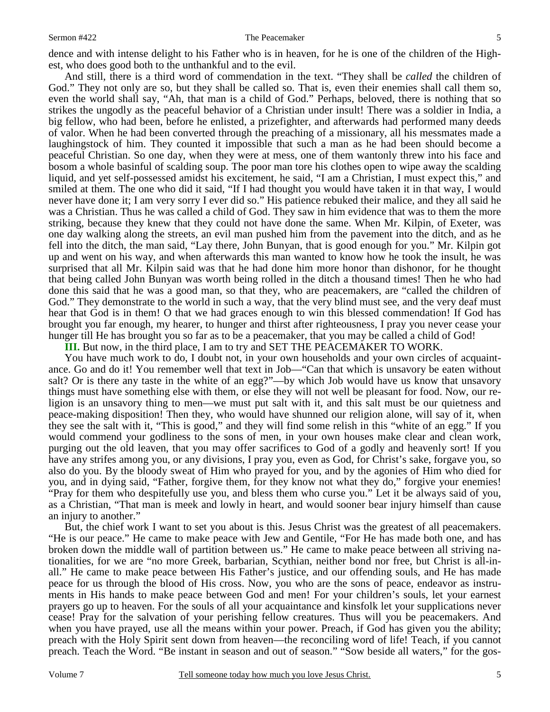dence and with intense delight to his Father who is in heaven, for he is one of the children of the Highest, who does good both to the unthankful and to the evil.

And still, there is a third word of commendation in the text. "They shall be *called* the children of God." They not only are so, but they shall be called so. That is, even their enemies shall call them so, even the world shall say, "Ah, that man is a child of God." Perhaps, beloved, there is nothing that so strikes the ungodly as the peaceful behavior of a Christian under insult! There was a soldier in India, a big fellow, who had been, before he enlisted, a prizefighter, and afterwards had performed many deeds of valor. When he had been converted through the preaching of a missionary, all his messmates made a laughingstock of him. They counted it impossible that such a man as he had been should become a peaceful Christian. So one day, when they were at mess, one of them wantonly threw into his face and bosom a whole basinful of scalding soup. The poor man tore his clothes open to wipe away the scalding liquid, and yet self-possessed amidst his excitement, he said, "I am a Christian, I must expect this," and smiled at them. The one who did it said, "If I had thought you would have taken it in that way, I would never have done it; I am very sorry I ever did so." His patience rebuked their malice, and they all said he was a Christian. Thus he was called a child of God. They saw in him evidence that was to them the more striking, because they knew that they could not have done the same. When Mr. Kilpin, of Exeter, was one day walking along the streets, an evil man pushed him from the pavement into the ditch, and as he fell into the ditch, the man said, "Lay there, John Bunyan, that is good enough for you." Mr. Kilpin got up and went on his way, and when afterwards this man wanted to know how he took the insult, he was surprised that all Mr. Kilpin said was that he had done him more honor than dishonor, for he thought that being called John Bunyan was worth being rolled in the ditch a thousand times! Then he who had done this said that he was a good man, so that they, who are peacemakers, are "called the children of God." They demonstrate to the world in such a way, that the very blind must see, and the very deaf must hear that God is in them! O that we had graces enough to win this blessed commendation! If God has brought you far enough, my hearer, to hunger and thirst after righteousness, I pray you never cease your hunger till He has brought you so far as to be a peacemaker, that you may be called a child of God!

**III.** But now, in the third place, I am to try and SET THE PEACEMAKER TO WORK.

You have much work to do, I doubt not, in your own households and your own circles of acquaintance. Go and do it! You remember well that text in Job—"Can that which is unsavory be eaten without salt? Or is there any taste in the white of an egg?"—by which Job would have us know that unsavory things must have something else with them, or else they will not well be pleasant for food. Now, our religion is an unsavory thing to men—we must put salt with it, and this salt must be our quietness and peace-making disposition! Then they, who would have shunned our religion alone, will say of it, when they see the salt with it, "This is good," and they will find some relish in this "white of an egg." If you would commend your godliness to the sons of men, in your own houses make clear and clean work, purging out the old leaven, that you may offer sacrifices to God of a godly and heavenly sort! If you have any strifes among you, or any divisions, I pray you, even as God, for Christ's sake, forgave you, so also do you. By the bloody sweat of Him who prayed for you, and by the agonies of Him who died for you, and in dying said, "Father, forgive them, for they know not what they do," forgive your enemies! "Pray for them who despitefully use you, and bless them who curse you." Let it be always said of you, as a Christian, "That man is meek and lowly in heart, and would sooner bear injury himself than cause an injury to another."

But, the chief work I want to set you about is this. Jesus Christ was the greatest of all peacemakers. "He is our peace." He came to make peace with Jew and Gentile, "For He has made both one, and has broken down the middle wall of partition between us." He came to make peace between all striving nationalities, for we are "no more Greek, barbarian, Scythian, neither bond nor free, but Christ is all-inall." He came to make peace between His Father's justice, and our offending souls, and He has made peace for us through the blood of His cross. Now, you who are the sons of peace, endeavor as instruments in His hands to make peace between God and men! For your children's souls, let your earnest prayers go up to heaven. For the souls of all your acquaintance and kinsfolk let your supplications never cease! Pray for the salvation of your perishing fellow creatures. Thus will you be peacemakers. And when you have prayed, use all the means within your power. Preach, if God has given you the ability; preach with the Holy Spirit sent down from heaven—the reconciling word of life! Teach, if you cannot preach. Teach the Word. "Be instant in season and out of season." "Sow beside all waters," for the gos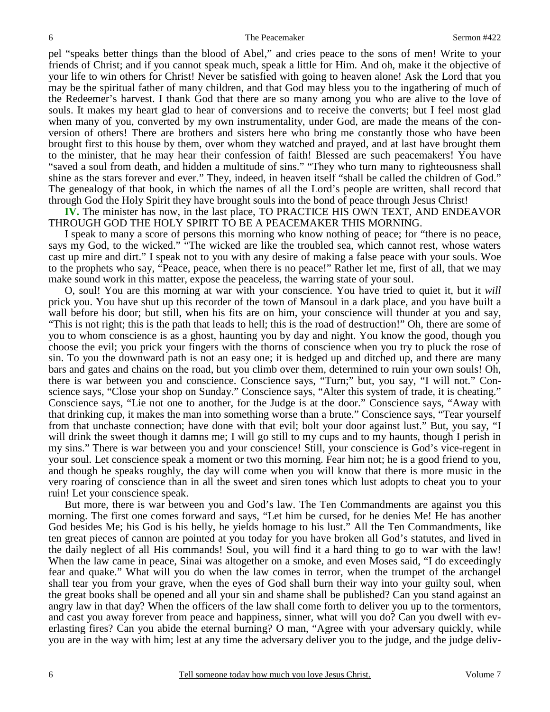pel "speaks better things than the blood of Abel," and cries peace to the sons of men! Write to your friends of Christ; and if you cannot speak much, speak a little for Him. And oh, make it the objective of your life to win others for Christ! Never be satisfied with going to heaven alone! Ask the Lord that you may be the spiritual father of many children, and that God may bless you to the ingathering of much of the Redeemer's harvest. I thank God that there are so many among you who are alive to the love of souls. It makes my heart glad to hear of conversions and to receive the converts; but I feel most glad when many of you, converted by my own instrumentality, under God, are made the means of the conversion of others! There are brothers and sisters here who bring me constantly those who have been brought first to this house by them, over whom they watched and prayed, and at last have brought them to the minister, that he may hear their confession of faith! Blessed are such peacemakers! You have "saved a soul from death, and hidden a multitude of sins." "They who turn many to righteousness shall shine as the stars forever and ever." They, indeed, in heaven itself "shall be called the children of God." The genealogy of that book, in which the names of all the Lord's people are written, shall record that through God the Holy Spirit they have brought souls into the bond of peace through Jesus Christ!

**IV.** The minister has now, in the last place, TO PRACTICE HIS OWN TEXT, AND ENDEAVOR THROUGH GOD THE HOLY SPIRIT TO BE A PEACEMAKER THIS MORNING.

I speak to many a score of persons this morning who know nothing of peace; for "there is no peace, says my God, to the wicked." "The wicked are like the troubled sea, which cannot rest, whose waters cast up mire and dirt." I speak not to you with any desire of making a false peace with your souls. Woe to the prophets who say, "Peace, peace, when there is no peace!" Rather let me, first of all, that we may make sound work in this matter, expose the peaceless, the warring state of your soul.

O, soul! You are this morning at war with your conscience. You have tried to quiet it, but it *will*  prick you. You have shut up this recorder of the town of Mansoul in a dark place, and you have built a wall before his door; but still, when his fits are on him, your conscience will thunder at you and say, "This is not right; this is the path that leads to hell; this is the road of destruction!" Oh, there are some of you to whom conscience is as a ghost, haunting you by day and night. You know the good, though you choose the evil; you prick your fingers with the thorns of conscience when you try to pluck the rose of sin. To you the downward path is not an easy one; it is hedged up and ditched up, and there are many bars and gates and chains on the road, but you climb over them, determined to ruin your own souls! Oh, there is war between you and conscience. Conscience says, "Turn;" but, you say, "I will not." Conscience says, "Close your shop on Sunday." Conscience says, "Alter this system of trade, it is cheating." Conscience says, "Lie not one to another, for the Judge is at the door." Conscience says, "Away with that drinking cup, it makes the man into something worse than a brute." Conscience says, "Tear yourself from that unchaste connection; have done with that evil; bolt your door against lust." But, you say, "I will drink the sweet though it damns me; I will go still to my cups and to my haunts, though I perish in my sins." There is war between you and your conscience! Still, your conscience is God's vice-regent in your soul. Let conscience speak a moment or two this morning. Fear him not; he is a good friend to you, and though he speaks roughly, the day will come when you will know that there is more music in the very roaring of conscience than in all the sweet and siren tones which lust adopts to cheat you to your ruin! Let your conscience speak.

But more, there is war between you and God's law. The Ten Commandments are against you this morning. The first one comes forward and says, "Let him be cursed, for he denies Me! He has another God besides Me; his God is his belly, he yields homage to his lust." All the Ten Commandments, like ten great pieces of cannon are pointed at you today for you have broken all God's statutes, and lived in the daily neglect of all His commands! Soul, you will find it a hard thing to go to war with the law! When the law came in peace, Sinai was altogether on a smoke, and even Moses said, "I do exceedingly fear and quake." What will you do when the law comes in terror, when the trumpet of the archangel shall tear you from your grave, when the eyes of God shall burn their way into your guilty soul, when the great books shall be opened and all your sin and shame shall be published? Can you stand against an angry law in that day? When the officers of the law shall come forth to deliver you up to the tormentors, and cast you away forever from peace and happiness, sinner, what will you do? Can you dwell with everlasting fires? Can you abide the eternal burning? O man, "Agree with your adversary quickly, while you are in the way with him; lest at any time the adversary deliver you to the judge, and the judge deliv-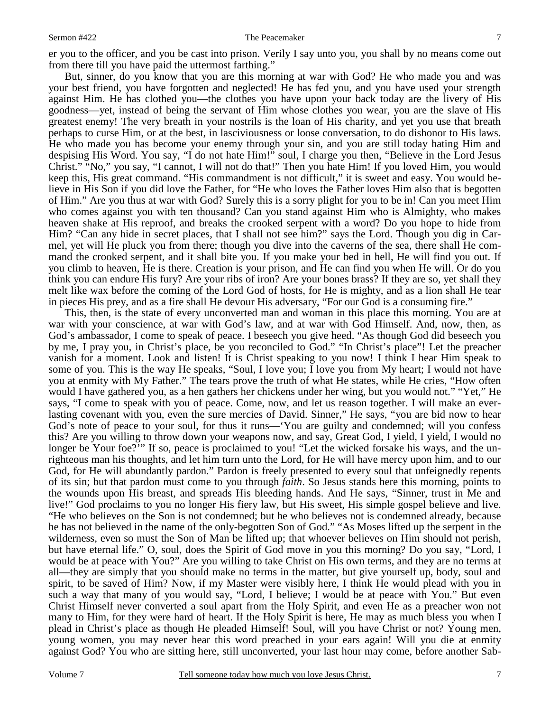#### Sermon #422 The Peacemaker

But, sinner, do you know that you are this morning at war with God? He who made you and was your best friend, you have forgotten and neglected! He has fed you, and you have used your strength against Him. He has clothed you—the clothes you have upon your back today are the livery of His goodness—yet, instead of being the servant of Him whose clothes you wear, you are the slave of His greatest enemy! The very breath in your nostrils is the loan of His charity, and yet you use that breath perhaps to curse Him, or at the best, in lasciviousness or loose conversation, to do dishonor to His laws. He who made you has become your enemy through your sin, and you are still today hating Him and despising His Word. You say, "I do not hate Him!" soul, I charge you then, "Believe in the Lord Jesus Christ." "No," you say, "I cannot, I will not do that!" Then you hate Him! If you loved Him, you would keep this, His great command. "His commandment is not difficult," it is sweet and easy. You would believe in His Son if you did love the Father, for "He who loves the Father loves Him also that is begotten of Him." Are you thus at war with God? Surely this is a sorry plight for you to be in! Can you meet Him who comes against you with ten thousand? Can you stand against Him who is Almighty, who makes heaven shake at His reproof, and breaks the crooked serpent with a word? Do you hope to hide from Him? "Can any hide in secret places, that I shall not see him?" says the Lord. Though you dig in Carmel, yet will He pluck you from there; though you dive into the caverns of the sea, there shall He command the crooked serpent, and it shall bite you. If you make your bed in hell, He will find you out. If you climb to heaven, He is there. Creation is your prison, and He can find you when He will. Or do you think you can endure His fury? Are your ribs of iron? Are your bones brass? If they are so, yet shall they melt like wax before the coming of the Lord God of hosts, for He is mighty, and as a lion shall He tear in pieces His prey, and as a fire shall He devour His adversary, "For our God is a consuming fire."

This, then, is the state of every unconverted man and woman in this place this morning. You are at war with your conscience, at war with God's law, and at war with God Himself. And, now, then, as God's ambassador, I come to speak of peace. I beseech you give heed. "As though God did beseech you by me, I pray you, in Christ's place, be you reconciled to God." "In Christ's place"! Let the preacher vanish for a moment. Look and listen! It is Christ speaking to you now! I think I hear Him speak to some of you. This is the way He speaks, "Soul, I love you; I love you from My heart; I would not have you at enmity with My Father." The tears prove the truth of what He states, while He cries, "How often would I have gathered you, as a hen gathers her chickens under her wing, but you would not." "Yet," He says, "I come to speak with you of peace. Come, now, and let us reason together. I will make an everlasting covenant with you, even the sure mercies of David. Sinner," He says, "you are bid now to hear God's note of peace to your soul, for thus it runs—'You are guilty and condemned; will you confess this? Are you willing to throw down your weapons now, and say, Great God, I yield, I yield, I would no longer be Your foe?"" If so, peace is proclaimed to you! "Let the wicked forsake his ways, and the unrighteous man his thoughts, and let him turn unto the Lord, for He will have mercy upon him, and to our God, for He will abundantly pardon." Pardon is freely presented to every soul that unfeignedly repents of its sin; but that pardon must come to you through *faith*. So Jesus stands here this morning, points to the wounds upon His breast, and spreads His bleeding hands. And He says, "Sinner, trust in Me and live!" God proclaims to you no longer His fiery law, but His sweet, His simple gospel believe and live. "He who believes on the Son is not condemned; but he who believes not is condemned already, because he has not believed in the name of the only-begotten Son of God." "As Moses lifted up the serpent in the wilderness, even so must the Son of Man be lifted up; that whoever believes on Him should not perish, but have eternal life." O, soul, does the Spirit of God move in you this morning? Do you say, "Lord, I would be at peace with You?" Are you willing to take Christ on His own terms, and they are no terms at all—they are simply that you should make no terms in the matter, but give yourself up, body, soul and spirit, to be saved of Him? Now, if my Master were visibly here, I think He would plead with you in such a way that many of you would say, "Lord, I believe; I would be at peace with You." But even Christ Himself never converted a soul apart from the Holy Spirit, and even He as a preacher won not many to Him, for they were hard of heart. If the Holy Spirit is here, He may as much bless you when I plead in Christ's place as though He pleaded Himself! Soul, will you have Christ or not? Young men, young women, you may never hear this word preached in your ears again! Will you die at enmity against God? You who are sitting here, still unconverted, your last hour may come, before another Sab-

7